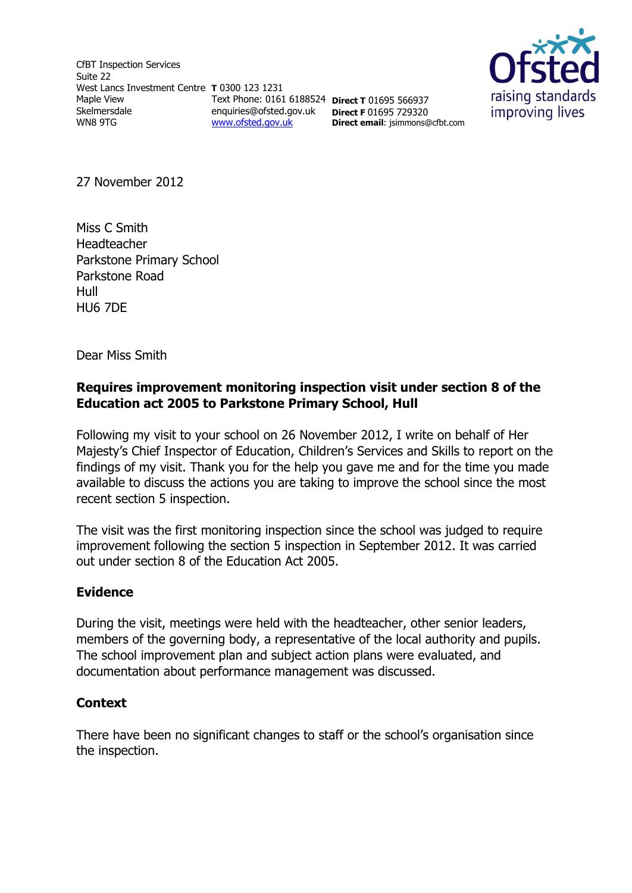CfBT Inspection Services Suite 22 West Lancs Investment Centre **T** 0300 123 1231 Maple View Skelmersdale WN8 9TG [www.ofsted.gov.uk](http://www.ofsted.gov.uk/)



Text Phone: 0161 6188524 **Direct T** 01695 566937 enquiries@ofsted.gov.uk **Direct F** 01695 729320 **Direct email**: jsimmons@cfbt.com

27 November 2012

Miss C Smith Headteacher Parkstone Primary School Parkstone Road Hull HU6 7DE

Dear Miss Smith

# **Requires improvement monitoring inspection visit under section 8 of the Education act 2005 to Parkstone Primary School, Hull**

Following my visit to your school on 26 November 2012, I write on behalf of Her Majesty's Chief Inspector of Education, Children's Services and Skills to report on the findings of my visit. Thank you for the help you gave me and for the time you made available to discuss the actions you are taking to improve the school since the most recent section 5 inspection.

The visit was the first monitoring inspection since the school was judged to require improvement following the section 5 inspection in September 2012. It was carried out under section 8 of the Education Act 2005.

# **Evidence**

During the visit, meetings were held with the headteacher, other senior leaders, members of the governing body, a representative of the local authority and pupils. The school improvement plan and subject action plans were evaluated, and documentation about performance management was discussed.

# **Context**

There have been no significant changes to staff or the school's organisation since the inspection.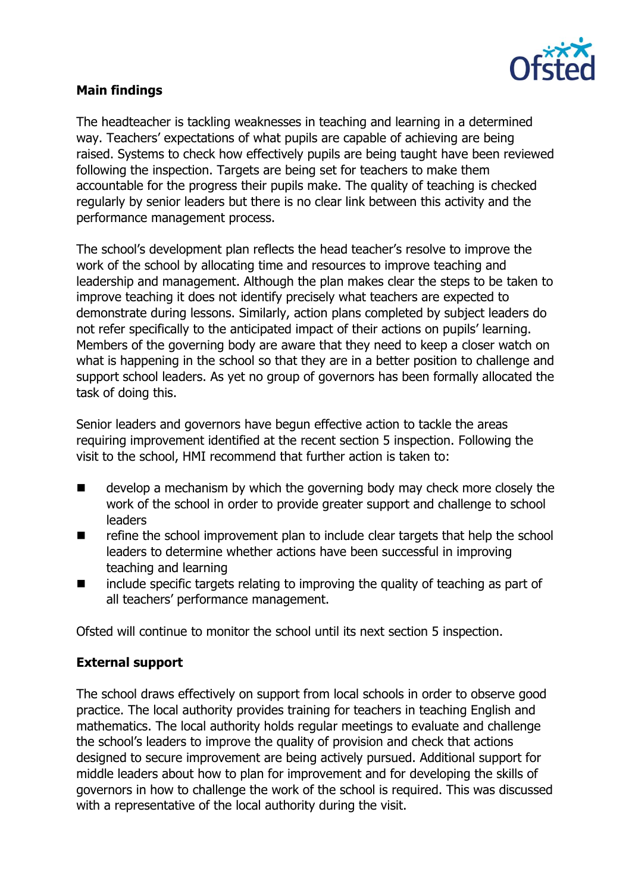

# **Main findings**

The headteacher is tackling weaknesses in teaching and learning in a determined way. Teachers' expectations of what pupils are capable of achieving are being raised. Systems to check how effectively pupils are being taught have been reviewed following the inspection. Targets are being set for teachers to make them accountable for the progress their pupils make. The quality of teaching is checked regularly by senior leaders but there is no clear link between this activity and the performance management process.

The school's development plan reflects the head teacher's resolve to improve the work of the school by allocating time and resources to improve teaching and leadership and management. Although the plan makes clear the steps to be taken to improve teaching it does not identify precisely what teachers are expected to demonstrate during lessons. Similarly, action plans completed by subject leaders do not refer specifically to the anticipated impact of their actions on pupils' learning. Members of the governing body are aware that they need to keep a closer watch on what is happening in the school so that they are in a better position to challenge and support school leaders. As yet no group of governors has been formally allocated the task of doing this.

Senior leaders and governors have begun effective action to tackle the areas requiring improvement identified at the recent section 5 inspection. Following the visit to the school, HMI recommend that further action is taken to:

- develop a mechanism by which the governing body may check more closely the work of the school in order to provide greater support and challenge to school leaders
- $\blacksquare$  refine the school improvement plan to include clear targets that help the school leaders to determine whether actions have been successful in improving teaching and learning
- $\blacksquare$  include specific targets relating to improving the quality of teaching as part of all teachers' performance management.

Ofsted will continue to monitor the school until its next section 5 inspection.

# **External support**

The school draws effectively on support from local schools in order to observe good practice. The local authority provides training for teachers in teaching English and mathematics. The local authority holds regular meetings to evaluate and challenge the school's leaders to improve the quality of provision and check that actions designed to secure improvement are being actively pursued. Additional support for middle leaders about how to plan for improvement and for developing the skills of governors in how to challenge the work of the school is required. This was discussed with a representative of the local authority during the visit.